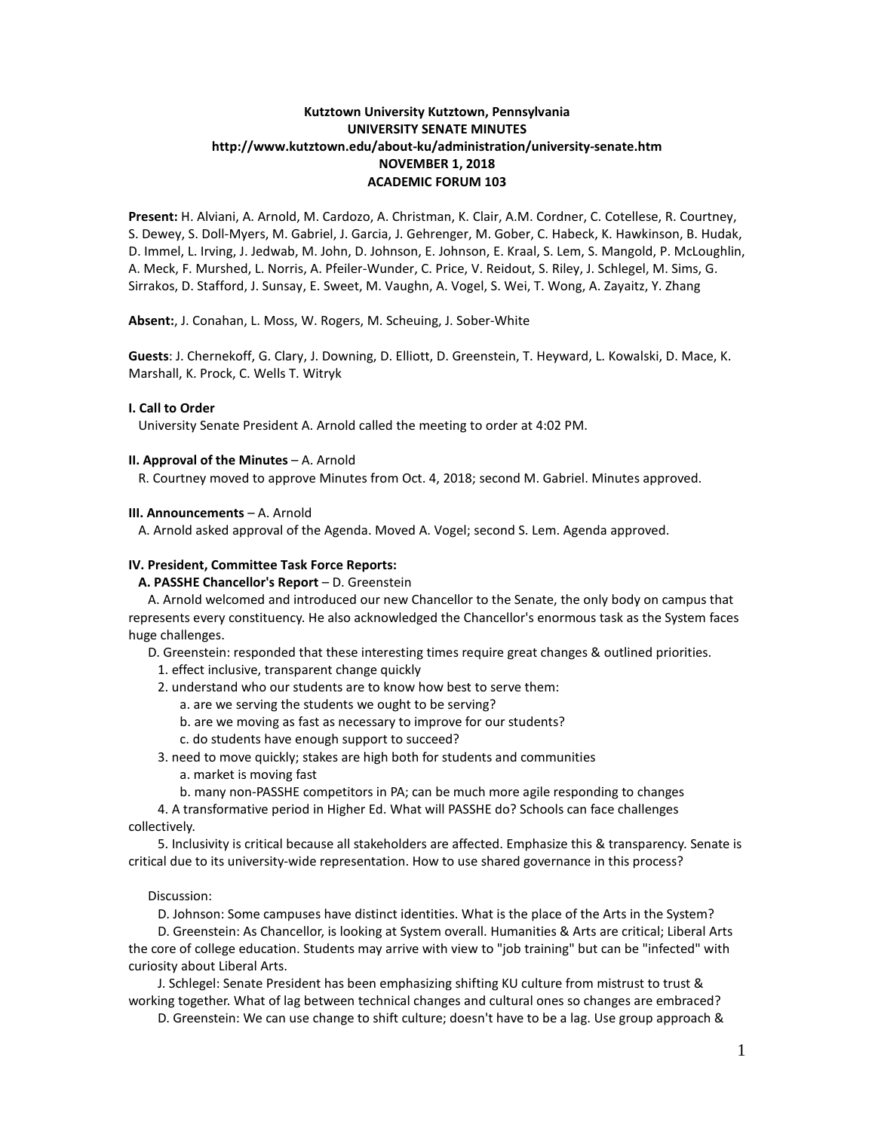# **Kutztown University Kutztown, Pennsylvania UNIVERSITY SENATE MINUTES http://www.kutztown.edu/about-ku/administration/university-senate.htm NOVEMBER 1, 2018 ACADEMIC FORUM 103**

**Present:** H. Alviani, A. Arnold, M. Cardozo, A. Christman, K. Clair, A.M. Cordner, C. Cotellese, R. Courtney, S. Dewey, S. Doll-Myers, M. Gabriel, J. Garcia, J. Gehrenger, M. Gober, C. Habeck, K. Hawkinson, B. Hudak, D. Immel, L. Irving, J. Jedwab, M. John, D. Johnson, E. Johnson, E. Kraal, S. Lem, S. Mangold, P. McLoughlin, A. Meck, F. Murshed, L. Norris, A. Pfeiler-Wunder, C. Price, V. Reidout, S. Riley, J. Schlegel, M. Sims, G. Sirrakos, D. Stafford, J. Sunsay, E. Sweet, M. Vaughn, A. Vogel, S. Wei, T. Wong, A. Zayaitz, Y. Zhang

**Absent:**, J. Conahan, L. Moss, W. Rogers, M. Scheuing, J. Sober-White

**Guests**: J. Chernekoff, G. Clary, J. Downing, D. Elliott, D. Greenstein, T. Heyward, L. Kowalski, D. Mace, K. Marshall, K. Prock, C. Wells T. Witryk

## **I. Call to Order**

University Senate President A. Arnold called the meeting to order at 4:02 PM.

#### **II. Approval of the Minutes** – A. Arnold

R. Courtney moved to approve Minutes from Oct. 4, 2018; second M. Gabriel. Minutes approved.

#### **III. Announcements** – A. Arnold

A. Arnold asked approval of the Agenda. Moved A. Vogel; second S. Lem. Agenda approved.

### **IV. President, Committee Task Force Reports:**

 **A. PASSHE Chancellor's Report** – D. Greenstein

 A. Arnold welcomed and introduced our new Chancellor to the Senate, the only body on campus that represents every constituency. He also acknowledged the Chancellor's enormous task as the System faces huge challenges.

D. Greenstein: responded that these interesting times require great changes & outlined priorities.

1. effect inclusive, transparent change quickly

2. understand who our students are to know how best to serve them:

- a. are we serving the students we ought to be serving?
- b. are we moving as fast as necessary to improve for our students?
- c. do students have enough support to succeed?
- 3. need to move quickly; stakes are high both for students and communities
	- a. market is moving fast
	- b. many non-PASSHE competitors in PA; can be much more agile responding to changes

 4. A transformative period in Higher Ed. What will PASSHE do? Schools can face challenges collectively.

 5. Inclusivity is critical because all stakeholders are affected. Emphasize this & transparency. Senate is critical due to its university-wide representation. How to use shared governance in this process?

#### Discussion:

D. Johnson: Some campuses have distinct identities. What is the place of the Arts in the System?

 D. Greenstein: As Chancellor, is looking at System overall. Humanities & Arts are critical; Liberal Arts the core of college education. Students may arrive with view to "job training" but can be "infected" with curiosity about Liberal Arts.

 J. Schlegel: Senate President has been emphasizing shifting KU culture from mistrust to trust & working together. What of lag between technical changes and cultural ones so changes are embraced?

D. Greenstein: We can use change to shift culture; doesn't have to be a lag. Use group approach &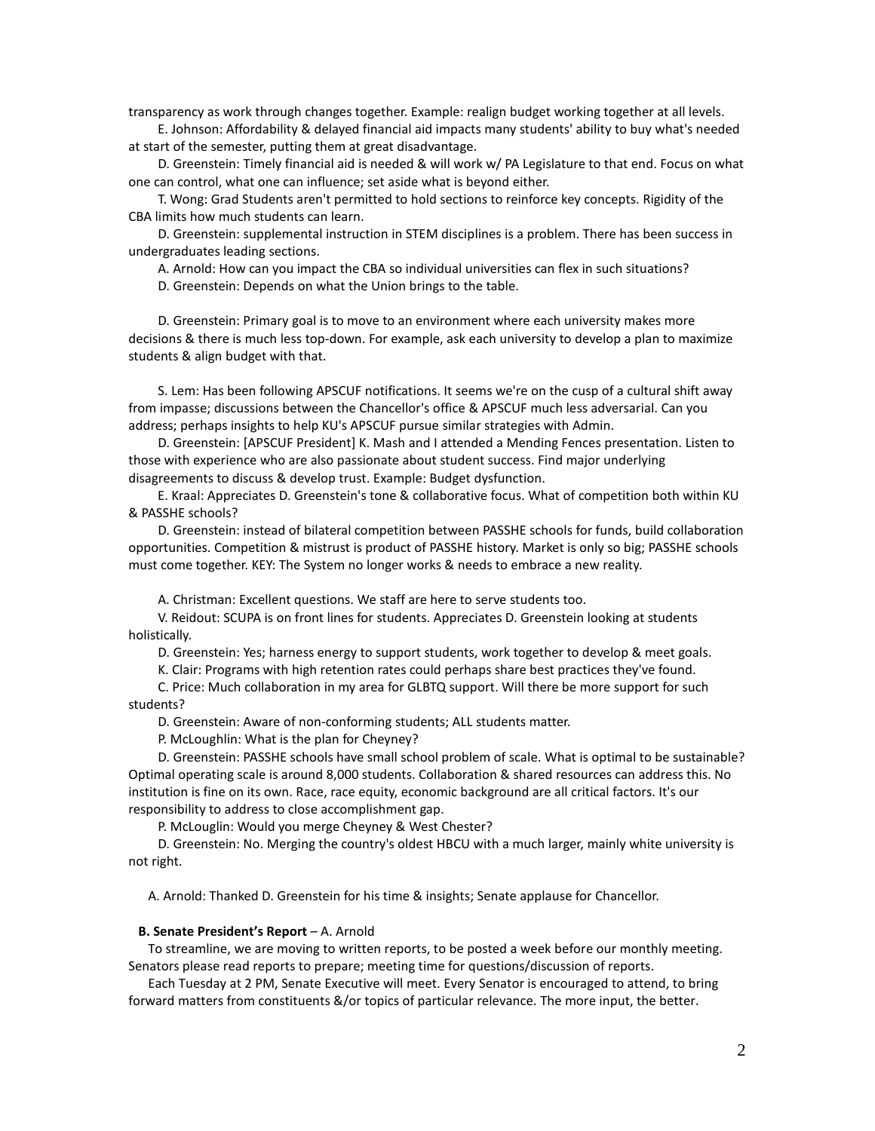transparency as work through changes together. Example: realign budget working together at all levels.

 E. Johnson: Affordability & delayed financial aid impacts many students' ability to buy what's needed at start of the semester, putting them at great disadvantage.

 D. Greenstein: Timely financial aid is needed & will work w/ PA Legislature to that end. Focus on what one can control, what one can influence; set aside what is beyond either.

 T. Wong: Grad Students aren't permitted to hold sections to reinforce key concepts. Rigidity of the CBA limits how much students can learn.

 D. Greenstein: supplemental instruction in STEM disciplines is a problem. There has been success in undergraduates leading sections.

A. Arnold: How can you impact the CBA so individual universities can flex in such situations?

D. Greenstein: Depends on what the Union brings to the table.

 D. Greenstein: Primary goal is to move to an environment where each university makes more decisions & there is much less top-down. For example, ask each university to develop a plan to maximize students & align budget with that.

 S. Lem: Has been following APSCUF notifications. It seems we're on the cusp of a cultural shift away from impasse; discussions between the Chancellor's office & APSCUF much less adversarial. Can you address; perhaps insights to help KU's APSCUF pursue similar strategies with Admin.

 D. Greenstein: [APSCUF President] K. Mash and I attended a Mending Fences presentation. Listen to those with experience who are also passionate about student success. Find major underlying disagreements to discuss & develop trust. Example: Budget dysfunction.

 E. Kraal: Appreciates D. Greenstein's tone & collaborative focus. What of competition both within KU & PASSHE schools?

 D. Greenstein: instead of bilateral competition between PASSHE schools for funds, build collaboration opportunities. Competition & mistrust is product of PASSHE history. Market is only so big; PASSHE schools must come together. KEY: The System no longer works & needs to embrace a new reality.

A. Christman: Excellent questions. We staff are here to serve students too.

 V. Reidout: SCUPA is on front lines for students. Appreciates D. Greenstein looking at students holistically.

D. Greenstein: Yes; harness energy to support students, work together to develop & meet goals.

K. Clair: Programs with high retention rates could perhaps share best practices they've found.

 C. Price: Much collaboration in my area for GLBTQ support. Will there be more support for such students?

D. Greenstein: Aware of non-conforming students; ALL students matter.

P. McLoughlin: What is the plan for Cheyney?

 D. Greenstein: PASSHE schools have small school problem of scale. What is optimal to be sustainable? Optimal operating scale is around 8,000 students. Collaboration & shared resources can address this. No institution is fine on its own. Race, race equity, economic background are all critical factors. It's our responsibility to address to close accomplishment gap.

P. McLouglin: Would you merge Cheyney & West Chester?

 D. Greenstein: No. Merging the country's oldest HBCU with a much larger, mainly white university is not right.

A. Arnold: Thanked D. Greenstein for his time & insights; Senate applause for Chancellor.

### **B. Senate President's Report** – A. Arnold

 To streamline, we are moving to written reports, to be posted a week before our monthly meeting. Senators please read reports to prepare; meeting time for questions/discussion of reports.

 Each Tuesday at 2 PM, Senate Executive will meet. Every Senator is encouraged to attend, to bring forward matters from constituents &/or topics of particular relevance. The more input, the better.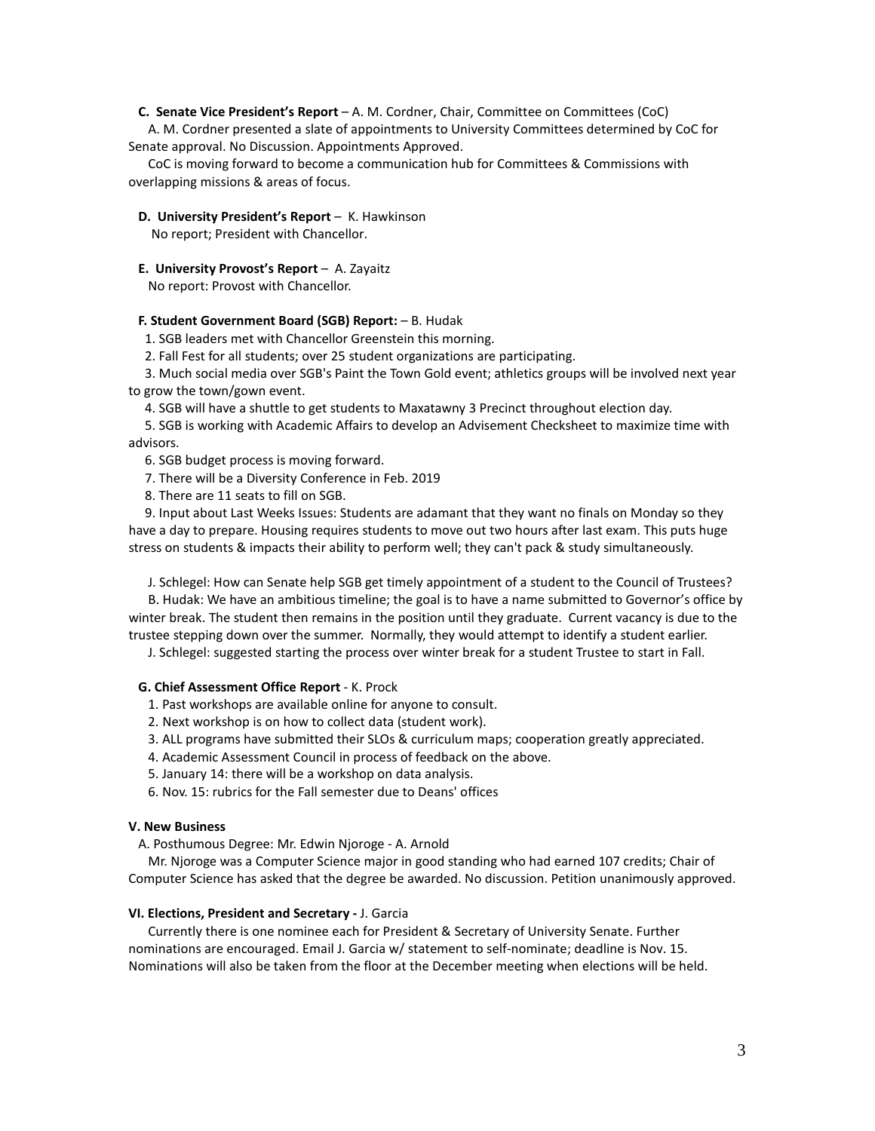## **C. Senate Vice President's Report** – A. M. Cordner, Chair, Committee on Committees (CoC)

 A. M. Cordner presented a slate of appointments to University Committees determined by CoC for Senate approval. No Discussion. Appointments Approved.

 CoC is moving forward to become a communication hub for Committees & Commissions with overlapping missions & areas of focus.

#### **D. University President's Report** – K. Hawkinson

No report; President with Chancellor.

### **E. University Provost's Report** – A. Zayaitz

No report: Provost with Chancellor.

# **F. Student Government Board (SGB) Report:** – B. Hudak

1. SGB leaders met with Chancellor Greenstein this morning.

2. Fall Fest for all students; over 25 student organizations are participating.

 3. Much social media over SGB's Paint the Town Gold event; athletics groups will be involved next year to grow the town/gown event.

4. SGB will have a shuttle to get students to Maxatawny 3 Precinct throughout election day.

 5. SGB is working with Academic Affairs to develop an Advisement Checksheet to maximize time with advisors.

- 6. SGB budget process is moving forward.
- 7. There will be a Diversity Conference in Feb. 2019
- 8. There are 11 seats to fill on SGB.

 9. Input about Last Weeks Issues: Students are adamant that they want no finals on Monday so they have a day to prepare. Housing requires students to move out two hours after last exam. This puts huge stress on students & impacts their ability to perform well; they can't pack & study simultaneously.

J. Schlegel: How can Senate help SGB get timely appointment of a student to the Council of Trustees?

 B. Hudak: We have an ambitious timeline; the goal is to have a name submitted to Governor's office by winter break. The student then remains in the position until they graduate. Current vacancy is due to the trustee stepping down over the summer. Normally, they would attempt to identify a student earlier.

J. Schlegel: suggested starting the process over winter break for a student Trustee to start in Fall.

#### **G. Chief Assessment Office Report** - K. Prock

1. Past workshops are available online for anyone to consult.

2. Next workshop is on how to collect data (student work).

3. ALL programs have submitted their SLOs & curriculum maps; cooperation greatly appreciated.

- 4. Academic Assessment Council in process of feedback on the above.
- 5. January 14: there will be a workshop on data analysis.
- 6. Nov. 15: rubrics for the Fall semester due to Deans' offices

#### **V. New Business**

A. Posthumous Degree: Mr. Edwin Njoroge - A. Arnold

 Mr. Njoroge was a Computer Science major in good standing who had earned 107 credits; Chair of Computer Science has asked that the degree be awarded. No discussion. Petition unanimously approved.

### **VI. Elections, President and Secretary -** J. Garcia

 Currently there is one nominee each for President & Secretary of University Senate. Further nominations are encouraged. Email J. Garcia w/ statement to self-nominate; deadline is Nov. 15. Nominations will also be taken from the floor at the December meeting when elections will be held.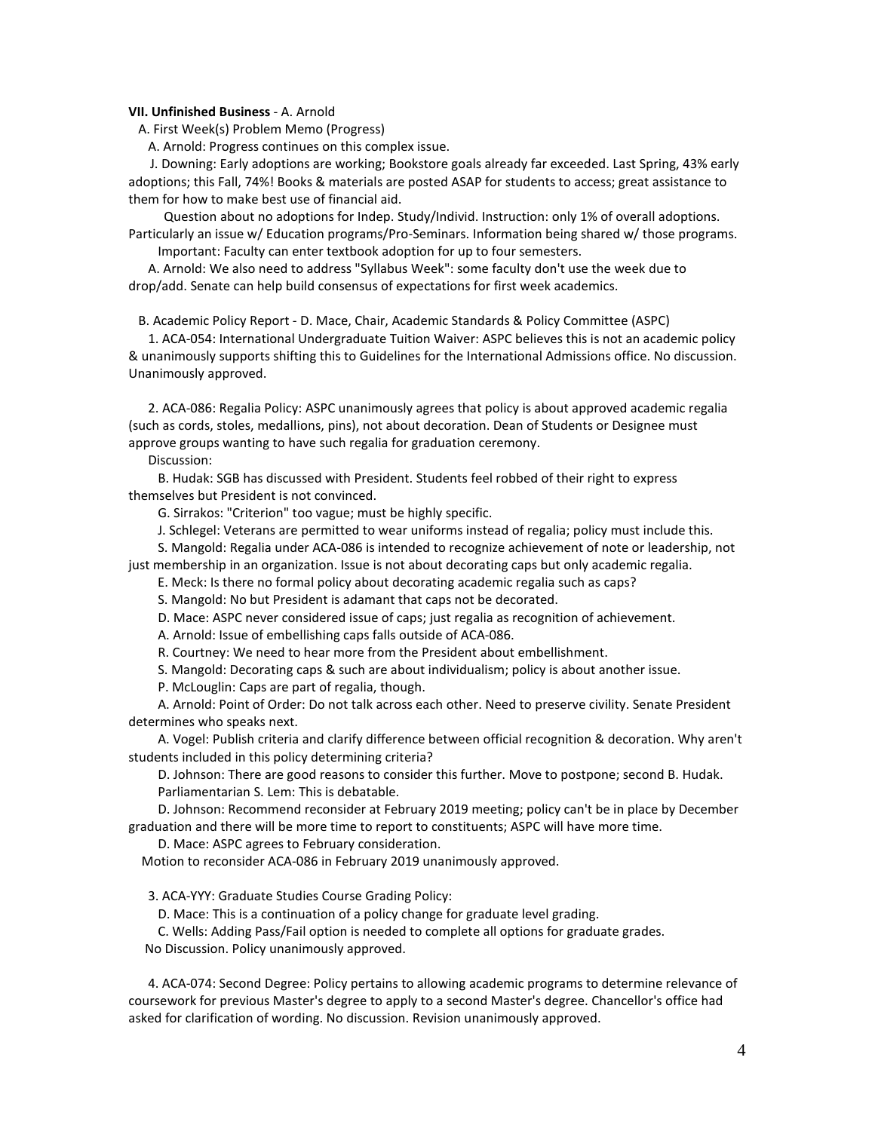#### **VII. Unfinished Business** - A. Arnold

A. First Week(s) Problem Memo (Progress)

A. Arnold: Progress continues on this complex issue.

 J. Downing: Early adoptions are working; Bookstore goals already far exceeded. Last Spring, 43% early adoptions; this Fall, 74%! Books & materials are posted ASAP for students to access; great assistance to them for how to make best use of financial aid.

 Question about no adoptions for Indep. Study/Individ. Instruction: only 1% of overall adoptions. Particularly an issue w/ Education programs/Pro-Seminars. Information being shared w/ those programs. Important: Faculty can enter textbook adoption for up to four semesters.

 A. Arnold: We also need to address "Syllabus Week": some faculty don't use the week due to drop/add. Senate can help build consensus of expectations for first week academics.

B. Academic Policy Report - D. Mace, Chair, Academic Standards & Policy Committee (ASPC)

 1. ACA-054: International Undergraduate Tuition Waiver: ASPC believes this is not an academic policy & unanimously supports shifting this to Guidelines for the International Admissions office. No discussion. Unanimously approved.

 2. ACA-086: Regalia Policy: ASPC unanimously agrees that policy is about approved academic regalia (such as cords, stoles, medallions, pins), not about decoration. Dean of Students or Designee must approve groups wanting to have such regalia for graduation ceremony.

Discussion:

 B. Hudak: SGB has discussed with President. Students feel robbed of their right to express themselves but President is not convinced.

G. Sirrakos: "Criterion" too vague; must be highly specific.

J. Schlegel: Veterans are permitted to wear uniforms instead of regalia; policy must include this.

 S. Mangold: Regalia under ACA-086 is intended to recognize achievement of note or leadership, not just membership in an organization. Issue is not about decorating caps but only academic regalia.

E. Meck: Is there no formal policy about decorating academic regalia such as caps?

S. Mangold: No but President is adamant that caps not be decorated.

D. Mace: ASPC never considered issue of caps; just regalia as recognition of achievement.

A. Arnold: Issue of embellishing caps falls outside of ACA-086.

R. Courtney: We need to hear more from the President about embellishment.

S. Mangold: Decorating caps & such are about individualism; policy is about another issue.

P. McLouglin: Caps are part of regalia, though.

 A. Arnold: Point of Order: Do not talk across each other. Need to preserve civility. Senate President determines who speaks next.

 A. Vogel: Publish criteria and clarify difference between official recognition & decoration. Why aren't students included in this policy determining criteria?

 D. Johnson: There are good reasons to consider this further. Move to postpone; second B. Hudak. Parliamentarian S. Lem: This is debatable.

 D. Johnson: Recommend reconsider at February 2019 meeting; policy can't be in place by December graduation and there will be more time to report to constituents; ASPC will have more time.

D. Mace: ASPC agrees to February consideration.

Motion to reconsider ACA-086 in February 2019 unanimously approved.

3. ACA-YYY: Graduate Studies Course Grading Policy:

D. Mace: This is a continuation of a policy change for graduate level grading.

 C. Wells: Adding Pass/Fail option is needed to complete all options for graduate grades. No Discussion. Policy unanimously approved.

 4. ACA-074: Second Degree: Policy pertains to allowing academic programs to determine relevance of coursework for previous Master's degree to apply to a second Master's degree. Chancellor's office had asked for clarification of wording. No discussion. Revision unanimously approved.